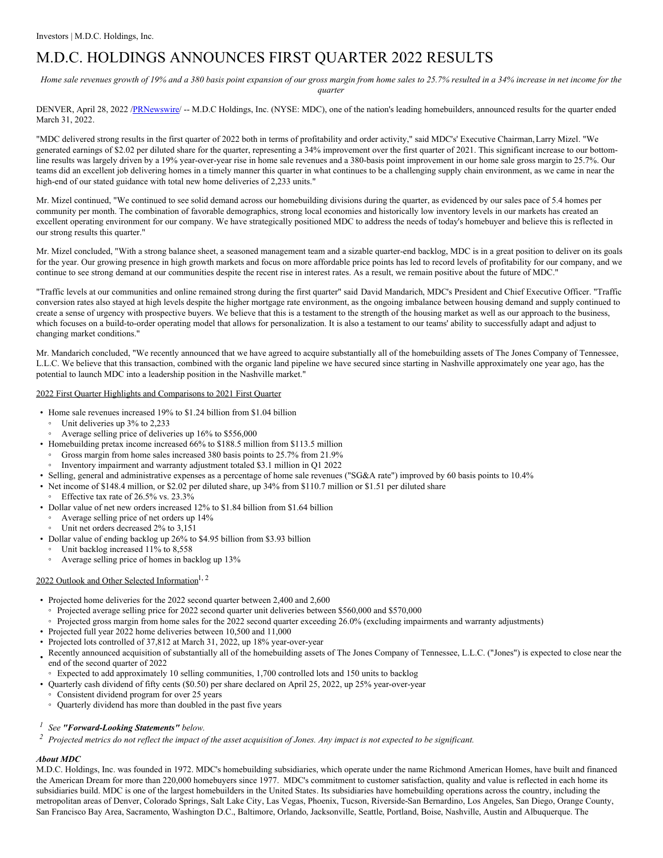# M.D.C. HOLDINGS ANNOUNCES FIRST QUARTER 2022 RESULTS

Home sale revenues growth of 19% and a 380 basis point expansion of our gross margin from home sales to 25.7% resulted in a 34% increase in net income for the *quarter*

DENVER, April 28, 2022 [/PRNewswire](http://www.prnewswire.com/)/ -- M.D.C Holdings, Inc. (NYSE: MDC), one of the nation's leading homebuilders, announced results for the quarter ended March 31, 2022.

"MDC delivered strong results in the first quarter of 2022 both in terms of profitability and order activity," said MDC's' Executive Chairman,Larry Mizel. "We generated earnings of \$2.02 per diluted share for the quarter, representing a 34% improvement over the first quarter of 2021. This significant increase to our bottomline results was largely driven by a 19% year-over-year rise in home sale revenues and a 380-basis point improvement in our home sale gross margin to 25.7%. Our teams did an excellent job delivering homes in a timely manner this quarter in what continues to be a challenging supply chain environment, as we came in near the high-end of our stated guidance with total new home deliveries of 2,233 units."

Mr. Mizel continued, "We continued to see solid demand across our homebuilding divisions during the quarter, as evidenced by our sales pace of 5.4 homes per community per month. The combination of favorable demographics, strong local economies and historically low inventory levels in our markets has created an excellent operating environment for our company. We have strategically positioned MDC to address the needs of today's homebuyer and believe this is reflected in our strong results this quarter."

Mr. Mizel concluded, "With a strong balance sheet, a seasoned management team and a sizable quarter-end backlog, MDC is in a great position to deliver on its goals for the year. Our growing presence in high growth markets and focus on more affordable price points has led to record levels of profitability for our company, and we continue to see strong demand at our communities despite the recent rise in interest rates. As a result, we remain positive about the future of MDC."

"Traffic levels at our communities and online remained strong during the first quarter" said David Mandarich, MDC's President and Chief Executive Officer. "Traffic conversion rates also stayed at high levels despite the higher mortgage rate environment, as the ongoing imbalance between housing demand and supply continued to create a sense of urgency with prospective buyers. We believe that this is a testament to the strength of the housing market as well as our approach to the business, which focuses on a build-to-order operating model that allows for personalization. It is also a testament to our teams' ability to successfully adapt and adjust to changing market conditions."

Mr. Mandarich concluded, "We recently announced that we have agreed to acquire substantially all of the homebuilding assets of The Jones Company of Tennessee, L.L.C. We believe that this transaction, combined with the organic land pipeline we have secured since starting in Nashville approximately one year ago, has the potential to launch MDC into a leadership position in the Nashville market."

#### 2022 First Quarter Highlights and Comparisons to 2021 First Quarter

- Home sale revenues increased 19% to \$1.24 billion from \$1.04 billion Unit deliveries up 3% to 2,233
- Average selling price of deliveries up 16% to \$556,000
- Homebuilding pretax income increased 66% to \$188.5 million from \$113.5 million
- Gross margin from home sales increased 380 basis points to 25.7% from 21.9%
- Inventory impairment and warranty adjustment totaled \$3.1 million in Q1 2022
- Selling, general and administrative expenses as a percentage of home sale revenues ("SG&A rate") improved by 60 basis points to 10.4%
- Net income of \$148.4 million, or \$2.02 per diluted share, up 34% from \$110.7 million or \$1.51 per diluted share
	- Effective tax rate of 26.5% vs. 23.3%
- Dollar value of net new orders increased 12% to \$1.84 billion from \$1.64 billion
	- Average selling price of net orders up 14%
	- Unit net orders decreased 2% to 3,151
- Dollar value of ending backlog up 26% to \$4.95 billion from \$3.93 billion
- Unit backlog increased 11% to 8,558
- Average selling price of homes in backlog up 13%

## 2022 Outlook and Other Selected Information<sup>1, 2</sup>

- Projected home deliveries for the 2022 second quarter between 2,400 and 2,600
	- Projected average selling price for 2022 second quarter unit deliveries between \$560,000 and \$570,000
	- Projected gross margin from home sales for the 2022 second quarter exceeding 26.0% (excluding impairments and warranty adjustments)
- Projected full year 2022 home deliveries between 10,500 and 11,000
- Projected lots controlled of 37,812 at March 31, 2022, up 18% year-over-year
- Recently announced acquisition of substantially all of the homebuilding assets of The Jones Company of Tennessee, L.L.C. ("Jones") is expected to close near the end of the second quarter of 2022
- Expected to add approximately 10 selling communities, 1,700 controlled lots and 150 units to backlog
- Quarterly cash dividend of fifty cents (\$0.50) per share declared on April 25, 2022, up 25% year-over-year
- Consistent dividend program for over 25 years
- Quarterly dividend has more than doubled in the past five years
- *<sup>1</sup> See "Forward-Looking Statements" below.*
- $\frac{2}{3}$  Projected metrics do not reflect the impact of the asset acquisition of Jones. Any impact is not expected to be significant.

#### *About MDC*

M.D.C. Holdings, Inc. was founded in 1972. MDC's homebuilding subsidiaries, which operate under the name Richmond American Homes, have built and financed the American Dream for more than 220,000 homebuyers since 1977. MDC's commitment to customer satisfaction, quality and value is reflected in each home its subsidiaries build. MDC is one of the largest homebuilders in the United States. Its subsidiaries have homebuilding operations across the country, including the metropolitan areas of Denver, Colorado Springs, Salt Lake City, Las Vegas, Phoenix, Tucson, Riverside-San Bernardino, Los Angeles, San Diego, Orange County, San Francisco Bay Area, Sacramento, Washington D.C., Baltimore, Orlando, Jacksonville, Seattle, Portland, Boise, Nashville, Austin and Albuquerque. The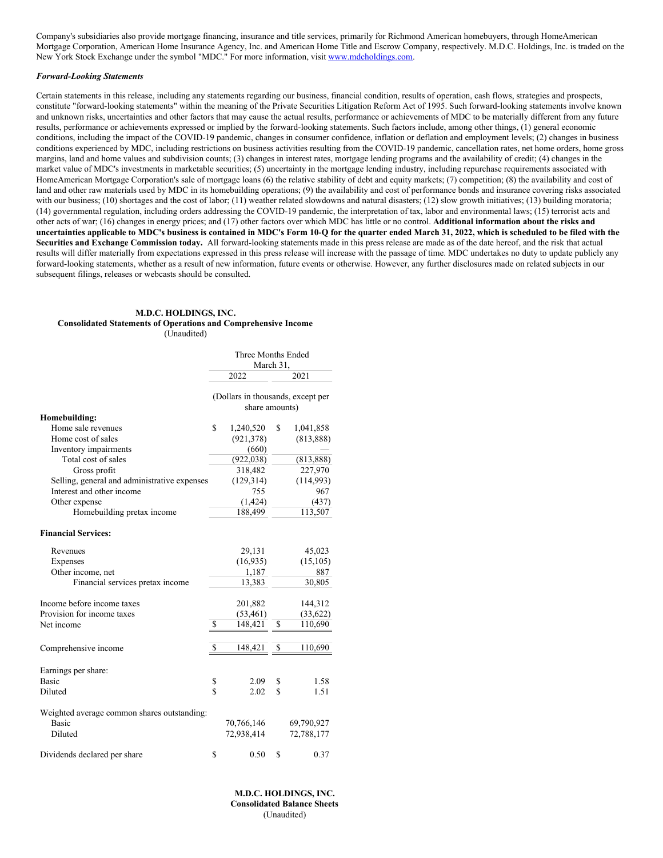Company's subsidiaries also provide mortgage financing, insurance and title services, primarily for Richmond American homebuyers, through HomeAmerican Mortgage Corporation, American Home Insurance Agency, Inc. and American Home Title and Escrow Company, respectively. M.D.C. Holdings, Inc. is traded on the New York Stock Exchange under the symbol "MDC." For more information, visit [www.mdcholdings.com](http://www.mdcholdings.com).

#### *Forward-Looking Statements*

Certain statements in this release, including any statements regarding our business, financial condition, results of operation, cash flows, strategies and prospects, constitute "forward-looking statements" within the meaning of the Private Securities Litigation Reform Act of 1995. Such forward-looking statements involve known and unknown risks, uncertainties and other factors that may cause the actual results, performance or achievements of MDC to be materially different from any future results, performance or achievements expressed or implied by the forward-looking statements. Such factors include, among other things, (1) general economic conditions, including the impact of the COVID-19 pandemic, changes in consumer confidence, inflation or deflation and employment levels; (2) changes in business conditions experienced by MDC, including restrictions on business activities resulting from the COVID-19 pandemic, cancellation rates, net home orders, home gross margins, land and home values and subdivision counts; (3) changes in interest rates, mortgage lending programs and the availability of credit; (4) changes in the market value of MDC's investments in marketable securities; (5) uncertainty in the mortgage lending industry, including repurchase requirements associated with HomeAmerican Mortgage Corporation's sale of mortgage loans (6) the relative stability of debt and equity markets; (7) competition; (8) the availability and cost of land and other raw materials used by MDC in its homebuilding operations; (9) the availability and cost of performance bonds and insurance covering risks associated with our business; (10) shortages and the cost of labor; (11) weather related slowdowns and natural disasters; (12) slow growth initiatives; (13) building moratoria; (14) governmental regulation, including orders addressing the COVID-19 pandemic, the interpretation of tax, labor and environmental laws; (15) terrorist acts and other acts of war; (16) changes in energy prices; and (17) other factors over which MDC has little or no control. **Additional information about the risks and** uncertainties applicable to MDC's business is contained in MDC's Form 10-Q for the quarter ended March 31, 2022, which is scheduled to be filed with the **Securities and Exchange Commission today.** All forward-looking statements made in this press release are made as of the date hereof, and the risk that actual results will differ materially from expectations expressed in this press release will increase with the passage of time. MDC undertakes no duty to update publicly any forward-looking statements, whether as a result of new information, future events or otherwise. However, any further disclosures made on related subjects in our subsequent filings, releases or webcasts should be consulted.

#### **M.D.C. HOLDINGS, INC. Consolidated Statements of Operations and Comprehensive Income** (Unaudited)

|                                              | Three Months Ended<br>March 31,                     |                 |
|----------------------------------------------|-----------------------------------------------------|-----------------|
|                                              | 2022                                                | 2021            |
|                                              | (Dollars in thousands, except per<br>share amounts) |                 |
| Homebuilding:                                |                                                     |                 |
| Home sale revenues                           | \$<br>1,240,520                                     | \$<br>1,041,858 |
| Home cost of sales                           | (921, 378)                                          | (813, 888)      |
| Inventory impairments                        | (660)                                               |                 |
| Total cost of sales                          | (922, 038)                                          | (813, 888)      |
| Gross profit                                 | 318,482                                             | 227,970         |
| Selling, general and administrative expenses | (129, 314)                                          | (114,993)       |
| Interest and other income                    | 755                                                 | 967             |
| Other expense                                | (1, 424)                                            | (437)           |
| Homebuilding pretax income                   | 188,499                                             | 113,507         |
| <b>Financial Services:</b>                   |                                                     |                 |
| Revenues                                     | 29,131                                              | 45,023          |
| Expenses                                     | (16, 935)                                           | (15, 105)       |
| Other income, net                            | 1,187                                               | 887             |
| Financial services pretax income             | 13,383                                              | 30,805          |
| Income before income taxes                   | 201,882                                             | 144,312         |
| Provision for income taxes                   | (53, 461)                                           | (33,622)        |
| Net income                                   | \$<br>148,421                                       | \$<br>110,690   |
| Comprehensive income                         | \$<br>148,421                                       | \$<br>110,690   |
|                                              |                                                     |                 |
| Earnings per share:                          |                                                     |                 |
| <b>Basic</b>                                 | \$<br>2.09                                          | \$<br>1.58      |
| Diluted                                      | \$<br>2.02                                          | \$<br>1.51      |
| Weighted average common shares outstanding:  |                                                     |                 |
| <b>Basic</b>                                 | 70,766,146                                          | 69,790,927      |
| Diluted                                      | 72,938,414                                          | 72,788,177      |
| Dividends declared per share                 | \$<br>0.50                                          | \$<br>0.37      |

**M.D.C. HOLDINGS, INC. Consolidated Balance Sheets** (Unaudited)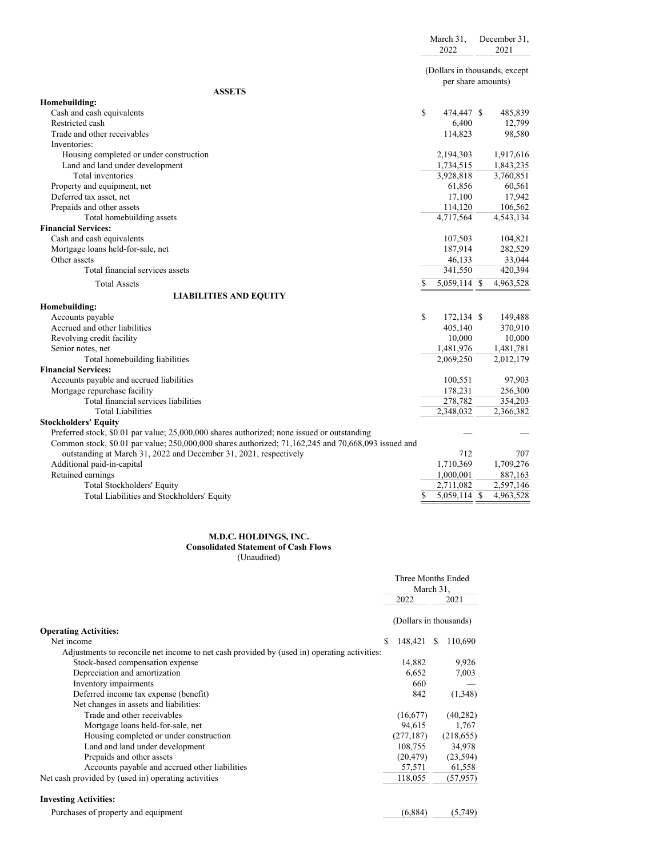| (Dollars in thousands, except<br>per share amounts)<br><b>ASSETS</b><br>Homebuilding:<br>Cash and cash equivalents<br>\$<br>474,447 \$<br>485,839<br>Restricted cash<br>6,400<br>12,799<br>Trade and other receivables<br>114,823<br>98,580<br>Inventories:<br>Housing completed or under construction<br>2,194,303<br>1,917,616<br>Land and land under development<br>1,734,515<br>1,843,235<br>Total inventories<br>3,928,818<br>3,760,851<br>Property and equipment, net<br>61,856<br>60,561<br>17,942<br>Deferred tax asset, net<br>17,100<br>Prepaids and other assets<br>114,120<br>106,562<br>4,717,564<br>4,543,134<br>Total homebuilding assets<br><b>Financial Services:</b><br>Cash and cash equivalents<br>107,503<br>104,821<br>Mortgage loans held-for-sale, net<br>187,914<br>282,529<br>Other assets<br>46,133<br>33,044<br>Total financial services assets<br>341,550<br>420,394<br>5,059,114 \$<br>4,963,528<br><b>Total Assets</b><br><b>LIABILITIES AND EQUITY</b><br>Homebuilding:<br>\$<br>Accounts payable<br>172,134 \$<br>149,488<br>Accrued and other liabilities<br>405,140<br>370,910<br>Revolving credit facility<br>10,000<br>10,000<br>Senior notes, net<br>1,481,976<br>1,481,781<br>2,069,250<br>Total homebuilding liabilities<br>2,012,179<br><b>Financial Services:</b><br>Accounts payable and accrued liabilities<br>97,903<br>100,551<br>Mortgage repurchase facility<br>178,231<br>256,300<br>Total financial services liabilities<br>278,782<br>354,203<br><b>Total Liabilities</b><br>2,348,032<br>2,366,382<br><b>Stockholders' Equity</b><br>Preferred stock, \$0.01 par value; 25,000,000 shares authorized; none issued or outstanding<br>Common stock, \$0.01 par value; 250,000,000 shares authorized; 71,162,245 and 70,668,093 issued and<br>outstanding at March 31, 2022 and December 31, 2021, respectively<br>712<br>707<br>Additional paid-in-capital<br>1,710,369<br>1,709,276<br>Retained earnings<br>1,000,001<br>887,163<br>2,711,082<br>2,597,146<br>Total Stockholders' Equity<br>5,059,114 \$<br>4,963,528<br>S<br>Total Liabilities and Stockholders' Equity |  | March 31,<br>2022 |  | December 31,<br>2021 |
|-----------------------------------------------------------------------------------------------------------------------------------------------------------------------------------------------------------------------------------------------------------------------------------------------------------------------------------------------------------------------------------------------------------------------------------------------------------------------------------------------------------------------------------------------------------------------------------------------------------------------------------------------------------------------------------------------------------------------------------------------------------------------------------------------------------------------------------------------------------------------------------------------------------------------------------------------------------------------------------------------------------------------------------------------------------------------------------------------------------------------------------------------------------------------------------------------------------------------------------------------------------------------------------------------------------------------------------------------------------------------------------------------------------------------------------------------------------------------------------------------------------------------------------------------------------------------------------------------------------------------------------------------------------------------------------------------------------------------------------------------------------------------------------------------------------------------------------------------------------------------------------------------------------------------------------------------------------------------------------------------------------------------------------------------------------------------------------------------------------------------------|--|-------------------|--|----------------------|
|                                                                                                                                                                                                                                                                                                                                                                                                                                                                                                                                                                                                                                                                                                                                                                                                                                                                                                                                                                                                                                                                                                                                                                                                                                                                                                                                                                                                                                                                                                                                                                                                                                                                                                                                                                                                                                                                                                                                                                                                                                                                                                                             |  |                   |  |                      |
|                                                                                                                                                                                                                                                                                                                                                                                                                                                                                                                                                                                                                                                                                                                                                                                                                                                                                                                                                                                                                                                                                                                                                                                                                                                                                                                                                                                                                                                                                                                                                                                                                                                                                                                                                                                                                                                                                                                                                                                                                                                                                                                             |  |                   |  |                      |
|                                                                                                                                                                                                                                                                                                                                                                                                                                                                                                                                                                                                                                                                                                                                                                                                                                                                                                                                                                                                                                                                                                                                                                                                                                                                                                                                                                                                                                                                                                                                                                                                                                                                                                                                                                                                                                                                                                                                                                                                                                                                                                                             |  |                   |  |                      |
|                                                                                                                                                                                                                                                                                                                                                                                                                                                                                                                                                                                                                                                                                                                                                                                                                                                                                                                                                                                                                                                                                                                                                                                                                                                                                                                                                                                                                                                                                                                                                                                                                                                                                                                                                                                                                                                                                                                                                                                                                                                                                                                             |  |                   |  |                      |
|                                                                                                                                                                                                                                                                                                                                                                                                                                                                                                                                                                                                                                                                                                                                                                                                                                                                                                                                                                                                                                                                                                                                                                                                                                                                                                                                                                                                                                                                                                                                                                                                                                                                                                                                                                                                                                                                                                                                                                                                                                                                                                                             |  |                   |  |                      |
|                                                                                                                                                                                                                                                                                                                                                                                                                                                                                                                                                                                                                                                                                                                                                                                                                                                                                                                                                                                                                                                                                                                                                                                                                                                                                                                                                                                                                                                                                                                                                                                                                                                                                                                                                                                                                                                                                                                                                                                                                                                                                                                             |  |                   |  |                      |
|                                                                                                                                                                                                                                                                                                                                                                                                                                                                                                                                                                                                                                                                                                                                                                                                                                                                                                                                                                                                                                                                                                                                                                                                                                                                                                                                                                                                                                                                                                                                                                                                                                                                                                                                                                                                                                                                                                                                                                                                                                                                                                                             |  |                   |  |                      |
|                                                                                                                                                                                                                                                                                                                                                                                                                                                                                                                                                                                                                                                                                                                                                                                                                                                                                                                                                                                                                                                                                                                                                                                                                                                                                                                                                                                                                                                                                                                                                                                                                                                                                                                                                                                                                                                                                                                                                                                                                                                                                                                             |  |                   |  |                      |
|                                                                                                                                                                                                                                                                                                                                                                                                                                                                                                                                                                                                                                                                                                                                                                                                                                                                                                                                                                                                                                                                                                                                                                                                                                                                                                                                                                                                                                                                                                                                                                                                                                                                                                                                                                                                                                                                                                                                                                                                                                                                                                                             |  |                   |  |                      |
|                                                                                                                                                                                                                                                                                                                                                                                                                                                                                                                                                                                                                                                                                                                                                                                                                                                                                                                                                                                                                                                                                                                                                                                                                                                                                                                                                                                                                                                                                                                                                                                                                                                                                                                                                                                                                                                                                                                                                                                                                                                                                                                             |  |                   |  |                      |
|                                                                                                                                                                                                                                                                                                                                                                                                                                                                                                                                                                                                                                                                                                                                                                                                                                                                                                                                                                                                                                                                                                                                                                                                                                                                                                                                                                                                                                                                                                                                                                                                                                                                                                                                                                                                                                                                                                                                                                                                                                                                                                                             |  |                   |  |                      |
|                                                                                                                                                                                                                                                                                                                                                                                                                                                                                                                                                                                                                                                                                                                                                                                                                                                                                                                                                                                                                                                                                                                                                                                                                                                                                                                                                                                                                                                                                                                                                                                                                                                                                                                                                                                                                                                                                                                                                                                                                                                                                                                             |  |                   |  |                      |
|                                                                                                                                                                                                                                                                                                                                                                                                                                                                                                                                                                                                                                                                                                                                                                                                                                                                                                                                                                                                                                                                                                                                                                                                                                                                                                                                                                                                                                                                                                                                                                                                                                                                                                                                                                                                                                                                                                                                                                                                                                                                                                                             |  |                   |  |                      |
|                                                                                                                                                                                                                                                                                                                                                                                                                                                                                                                                                                                                                                                                                                                                                                                                                                                                                                                                                                                                                                                                                                                                                                                                                                                                                                                                                                                                                                                                                                                                                                                                                                                                                                                                                                                                                                                                                                                                                                                                                                                                                                                             |  |                   |  |                      |
|                                                                                                                                                                                                                                                                                                                                                                                                                                                                                                                                                                                                                                                                                                                                                                                                                                                                                                                                                                                                                                                                                                                                                                                                                                                                                                                                                                                                                                                                                                                                                                                                                                                                                                                                                                                                                                                                                                                                                                                                                                                                                                                             |  |                   |  |                      |
|                                                                                                                                                                                                                                                                                                                                                                                                                                                                                                                                                                                                                                                                                                                                                                                                                                                                                                                                                                                                                                                                                                                                                                                                                                                                                                                                                                                                                                                                                                                                                                                                                                                                                                                                                                                                                                                                                                                                                                                                                                                                                                                             |  |                   |  |                      |
|                                                                                                                                                                                                                                                                                                                                                                                                                                                                                                                                                                                                                                                                                                                                                                                                                                                                                                                                                                                                                                                                                                                                                                                                                                                                                                                                                                                                                                                                                                                                                                                                                                                                                                                                                                                                                                                                                                                                                                                                                                                                                                                             |  |                   |  |                      |
|                                                                                                                                                                                                                                                                                                                                                                                                                                                                                                                                                                                                                                                                                                                                                                                                                                                                                                                                                                                                                                                                                                                                                                                                                                                                                                                                                                                                                                                                                                                                                                                                                                                                                                                                                                                                                                                                                                                                                                                                                                                                                                                             |  |                   |  |                      |
|                                                                                                                                                                                                                                                                                                                                                                                                                                                                                                                                                                                                                                                                                                                                                                                                                                                                                                                                                                                                                                                                                                                                                                                                                                                                                                                                                                                                                                                                                                                                                                                                                                                                                                                                                                                                                                                                                                                                                                                                                                                                                                                             |  |                   |  |                      |
|                                                                                                                                                                                                                                                                                                                                                                                                                                                                                                                                                                                                                                                                                                                                                                                                                                                                                                                                                                                                                                                                                                                                                                                                                                                                                                                                                                                                                                                                                                                                                                                                                                                                                                                                                                                                                                                                                                                                                                                                                                                                                                                             |  |                   |  |                      |
|                                                                                                                                                                                                                                                                                                                                                                                                                                                                                                                                                                                                                                                                                                                                                                                                                                                                                                                                                                                                                                                                                                                                                                                                                                                                                                                                                                                                                                                                                                                                                                                                                                                                                                                                                                                                                                                                                                                                                                                                                                                                                                                             |  |                   |  |                      |
|                                                                                                                                                                                                                                                                                                                                                                                                                                                                                                                                                                                                                                                                                                                                                                                                                                                                                                                                                                                                                                                                                                                                                                                                                                                                                                                                                                                                                                                                                                                                                                                                                                                                                                                                                                                                                                                                                                                                                                                                                                                                                                                             |  |                   |  |                      |
|                                                                                                                                                                                                                                                                                                                                                                                                                                                                                                                                                                                                                                                                                                                                                                                                                                                                                                                                                                                                                                                                                                                                                                                                                                                                                                                                                                                                                                                                                                                                                                                                                                                                                                                                                                                                                                                                                                                                                                                                                                                                                                                             |  |                   |  |                      |
|                                                                                                                                                                                                                                                                                                                                                                                                                                                                                                                                                                                                                                                                                                                                                                                                                                                                                                                                                                                                                                                                                                                                                                                                                                                                                                                                                                                                                                                                                                                                                                                                                                                                                                                                                                                                                                                                                                                                                                                                                                                                                                                             |  |                   |  |                      |
|                                                                                                                                                                                                                                                                                                                                                                                                                                                                                                                                                                                                                                                                                                                                                                                                                                                                                                                                                                                                                                                                                                                                                                                                                                                                                                                                                                                                                                                                                                                                                                                                                                                                                                                                                                                                                                                                                                                                                                                                                                                                                                                             |  |                   |  |                      |
|                                                                                                                                                                                                                                                                                                                                                                                                                                                                                                                                                                                                                                                                                                                                                                                                                                                                                                                                                                                                                                                                                                                                                                                                                                                                                                                                                                                                                                                                                                                                                                                                                                                                                                                                                                                                                                                                                                                                                                                                                                                                                                                             |  |                   |  |                      |
|                                                                                                                                                                                                                                                                                                                                                                                                                                                                                                                                                                                                                                                                                                                                                                                                                                                                                                                                                                                                                                                                                                                                                                                                                                                                                                                                                                                                                                                                                                                                                                                                                                                                                                                                                                                                                                                                                                                                                                                                                                                                                                                             |  |                   |  |                      |
|                                                                                                                                                                                                                                                                                                                                                                                                                                                                                                                                                                                                                                                                                                                                                                                                                                                                                                                                                                                                                                                                                                                                                                                                                                                                                                                                                                                                                                                                                                                                                                                                                                                                                                                                                                                                                                                                                                                                                                                                                                                                                                                             |  |                   |  |                      |
|                                                                                                                                                                                                                                                                                                                                                                                                                                                                                                                                                                                                                                                                                                                                                                                                                                                                                                                                                                                                                                                                                                                                                                                                                                                                                                                                                                                                                                                                                                                                                                                                                                                                                                                                                                                                                                                                                                                                                                                                                                                                                                                             |  |                   |  |                      |
|                                                                                                                                                                                                                                                                                                                                                                                                                                                                                                                                                                                                                                                                                                                                                                                                                                                                                                                                                                                                                                                                                                                                                                                                                                                                                                                                                                                                                                                                                                                                                                                                                                                                                                                                                                                                                                                                                                                                                                                                                                                                                                                             |  |                   |  |                      |
|                                                                                                                                                                                                                                                                                                                                                                                                                                                                                                                                                                                                                                                                                                                                                                                                                                                                                                                                                                                                                                                                                                                                                                                                                                                                                                                                                                                                                                                                                                                                                                                                                                                                                                                                                                                                                                                                                                                                                                                                                                                                                                                             |  |                   |  |                      |
|                                                                                                                                                                                                                                                                                                                                                                                                                                                                                                                                                                                                                                                                                                                                                                                                                                                                                                                                                                                                                                                                                                                                                                                                                                                                                                                                                                                                                                                                                                                                                                                                                                                                                                                                                                                                                                                                                                                                                                                                                                                                                                                             |  |                   |  |                      |
|                                                                                                                                                                                                                                                                                                                                                                                                                                                                                                                                                                                                                                                                                                                                                                                                                                                                                                                                                                                                                                                                                                                                                                                                                                                                                                                                                                                                                                                                                                                                                                                                                                                                                                                                                                                                                                                                                                                                                                                                                                                                                                                             |  |                   |  |                      |
|                                                                                                                                                                                                                                                                                                                                                                                                                                                                                                                                                                                                                                                                                                                                                                                                                                                                                                                                                                                                                                                                                                                                                                                                                                                                                                                                                                                                                                                                                                                                                                                                                                                                                                                                                                                                                                                                                                                                                                                                                                                                                                                             |  |                   |  |                      |
|                                                                                                                                                                                                                                                                                                                                                                                                                                                                                                                                                                                                                                                                                                                                                                                                                                                                                                                                                                                                                                                                                                                                                                                                                                                                                                                                                                                                                                                                                                                                                                                                                                                                                                                                                                                                                                                                                                                                                                                                                                                                                                                             |  |                   |  |                      |
|                                                                                                                                                                                                                                                                                                                                                                                                                                                                                                                                                                                                                                                                                                                                                                                                                                                                                                                                                                                                                                                                                                                                                                                                                                                                                                                                                                                                                                                                                                                                                                                                                                                                                                                                                                                                                                                                                                                                                                                                                                                                                                                             |  |                   |  |                      |
|                                                                                                                                                                                                                                                                                                                                                                                                                                                                                                                                                                                                                                                                                                                                                                                                                                                                                                                                                                                                                                                                                                                                                                                                                                                                                                                                                                                                                                                                                                                                                                                                                                                                                                                                                                                                                                                                                                                                                                                                                                                                                                                             |  |                   |  |                      |
|                                                                                                                                                                                                                                                                                                                                                                                                                                                                                                                                                                                                                                                                                                                                                                                                                                                                                                                                                                                                                                                                                                                                                                                                                                                                                                                                                                                                                                                                                                                                                                                                                                                                                                                                                                                                                                                                                                                                                                                                                                                                                                                             |  |                   |  |                      |
|                                                                                                                                                                                                                                                                                                                                                                                                                                                                                                                                                                                                                                                                                                                                                                                                                                                                                                                                                                                                                                                                                                                                                                                                                                                                                                                                                                                                                                                                                                                                                                                                                                                                                                                                                                                                                                                                                                                                                                                                                                                                                                                             |  |                   |  |                      |
|                                                                                                                                                                                                                                                                                                                                                                                                                                                                                                                                                                                                                                                                                                                                                                                                                                                                                                                                                                                                                                                                                                                                                                                                                                                                                                                                                                                                                                                                                                                                                                                                                                                                                                                                                                                                                                                                                                                                                                                                                                                                                                                             |  |                   |  |                      |

# **M.D.C. HOLDINGS, INC. Consolidated Statement of Cash Flows**

(Unaudited)

|                                                                                             | Three Months Ended<br>March 31, |   |            |
|---------------------------------------------------------------------------------------------|---------------------------------|---|------------|
|                                                                                             | 2022                            |   | 2021       |
| <b>Operating Activities:</b>                                                                | (Dollars in thousands)          |   |            |
| Net income                                                                                  | \$<br>148,421                   | S | 110,690    |
| Adjustments to reconcile net income to net cash provided by (used in) operating activities: |                                 |   |            |
| Stock-based compensation expense                                                            | 14,882                          |   | 9,926      |
| Depreciation and amortization                                                               | 6,652                           |   | 7,003      |
| Inventory impairments                                                                       | 660                             |   |            |
| Deferred income tax expense (benefit)                                                       | 842                             |   | (1,348)    |
| Net changes in assets and liabilities:                                                      |                                 |   |            |
| Trade and other receivables                                                                 | (16,677)                        |   | (40, 282)  |
| Mortgage loans held-for-sale, net                                                           | 94,615                          |   | 1,767      |
| Housing completed or under construction                                                     | (277, 187)                      |   | (218, 655) |
| Land and land under development                                                             | 108,755                         |   | 34,978     |
| Prepaids and other assets                                                                   | (20, 479)                       |   | (23, 594)  |
| Accounts payable and accrued other liabilities                                              | 57,571                          |   | 61,558     |
| Net cash provided by (used in) operating activities                                         | 118,055                         |   | (57, 957)  |
| <b>Investing Activities:</b>                                                                |                                 |   |            |
| Purchases of property and equipment                                                         | (6,884)                         |   | (5,749)    |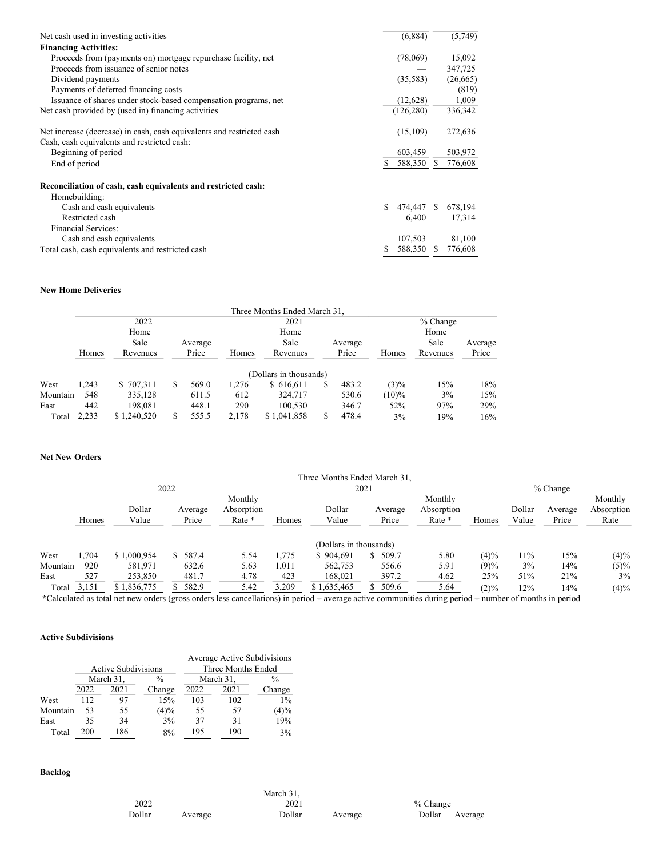| Net cash used in investing activities                                 | (6, 884)   |    | (5,749)   |
|-----------------------------------------------------------------------|------------|----|-----------|
| <b>Financing Activities:</b>                                          |            |    |           |
| Proceeds from (payments on) mortgage repurchase facility, net         | (78,069)   |    | 15,092    |
| Proceeds from issuance of senior notes                                |            |    | 347,725   |
| Dividend payments                                                     | (35,583)   |    | (26, 665) |
| Payments of deferred financing costs                                  |            |    | (819)     |
| Issuance of shares under stock-based compensation programs, net       | (12,628)   |    | 1,009     |
| Net cash provided by (used in) financing activities                   | (126, 280) |    | 336,342   |
|                                                                       |            |    |           |
| Net increase (decrease) in cash, cash equivalents and restricted cash | (15,109)   |    | 272,636   |
| Cash, cash equivalents and restricted cash:                           |            |    |           |
| Beginning of period                                                   | 603,459    |    | 503,972   |
| End of period                                                         | 588,350    | -S | 776,608   |
| Reconciliation of cash, cash equivalents and restricted cash:         |            |    |           |
| Homebuilding:                                                         |            |    |           |
| Cash and cash equivalents                                             | 474,447 \$ |    | 678,194   |
| Restricted cash                                                       | 6,400      |    | 17,314    |
| <b>Financial Services:</b>                                            |            |    |           |
| Cash and cash equivalents                                             | 107,503    |    | 81,100    |
| Total cash, cash equivalents and restricted cash                      | 588,350    | S  | 776,608   |

# **New Home Deliveries**

|          |       |             |    |         |       | Three Months Ended March 31, |   |         |          |            |         |
|----------|-------|-------------|----|---------|-------|------------------------------|---|---------|----------|------------|---------|
|          |       | 2022        |    |         |       | 2021                         |   |         |          | $%$ Change |         |
|          |       | Home        |    |         |       | Home                         |   |         |          | Home       |         |
|          |       | Sale        |    | Average |       | Sale                         |   | Average |          | Sale       | Average |
|          | Homes | Revenues    |    | Price   | Homes | Revenues                     |   | Price   | Homes    | Revenues   | Price   |
|          |       |             |    |         |       | (Dollars in thousands)       |   |         |          |            |         |
| West     | 1.243 | \$707,311   | S. | 569.0   | 1.276 | \$616,611                    | S | 483.2   | $(3)\%$  | 15%        | 18%     |
| Mountain | 548   | 335,128     |    | 611.5   | 612   | 324,717                      |   | 530.6   | $(10)\%$ | 3%         | 15%     |
| East     | 442   | 198,081     |    | 448.1   | 290   | 100.530                      |   | 346.7   | 52%      | 97%        | 29%     |
| Total    | 2,233 | \$1,240,520 |    | 555.5   | 2,178 | \$1.041.858                  |   | 478.4   | 3%       | 19%        | 16%     |

#### **Net New Orders**

|          |       |                 |                  |                                 |       | Three Months Ended March 31. |                  |                                 |         |                 |                  |                               |
|----------|-------|-----------------|------------------|---------------------------------|-------|------------------------------|------------------|---------------------------------|---------|-----------------|------------------|-------------------------------|
|          |       |                 | 2022             |                                 |       |                              | 2021             |                                 |         |                 | $%$ Change       |                               |
|          | Homes | Dollar<br>Value | Average<br>Price | Monthly<br>Absorption<br>Rate * | Homes | Dollar<br>Value              | Average<br>Price | Monthly<br>Absorption<br>Rate * | Homes   | Dollar<br>Value | Average<br>Price | Monthly<br>Absorption<br>Rate |
|          |       |                 |                  |                                 |       | (Dollars in thousands)       |                  |                                 |         |                 |                  |                               |
| West     | .704  | \$1,000,954     | \$587.4          | 5.54                            | 1,775 | \$904.691                    | 509.7<br>S       | 5.80                            | $(4)\%$ | 11%             | 15%              | $(4)\%$                       |
| Mountain | 920   | 581,971         | 632.6            | 5.63                            | 1.011 | 562,753                      | 556.6            | 5.91                            | (9)%    | 3%              | 14%              | $(5)\%$                       |
| East     | 527   | 253,850         | 481.7            | 4.78                            | 423   | 168,021                      | 397.2            | 4.62                            | 25%     | 51%             | 21%              | 3%                            |
| Total    | 3,151 | \$1,836,775     | 582.9            | 5.42                            | 3,209 | \$1,635,465                  | 509.6            | 5.64                            | $(2)\%$ | 12%             | 14%              | $(4)\%$                       |

**\***Calculated as total net new orders (gross orders less cancellations) in period ÷ average active communities during period ÷ number of months in period

### **Active Subdivisions**

|          |      |                            |               |                    |           | Average Active Subdivisions |  |  |  |
|----------|------|----------------------------|---------------|--------------------|-----------|-----------------------------|--|--|--|
|          |      | <b>Active Subdivisions</b> |               | Three Months Ended |           |                             |  |  |  |
|          |      | March 31,                  | $\frac{0}{0}$ |                    | March 31, | %                           |  |  |  |
|          | 2022 | 2021                       | Change        | 2022               | 2021      | Change                      |  |  |  |
| West     | 112  | 97                         | 15%           | 103                | 102       | $1\%$                       |  |  |  |
| Mountain | 53   | 55                         | (4)%          | 55                 | 57        | (4)%                        |  |  |  |
| East     | 35   | 34                         | 3%            | 37                 | 31        | 19%                         |  |  |  |
| Total    | 200  | 186                        | 8%            | 195                | 190       | 3%                          |  |  |  |

### **Backlog**

|        |         | March 3 <sup>1</sup> |         |            |         |
|--------|---------|----------------------|---------|------------|---------|
| 2022   |         | 2021                 |         | $%$ Change |         |
| Dollar | Average | Dollar               | Average | Dollar     | Average |